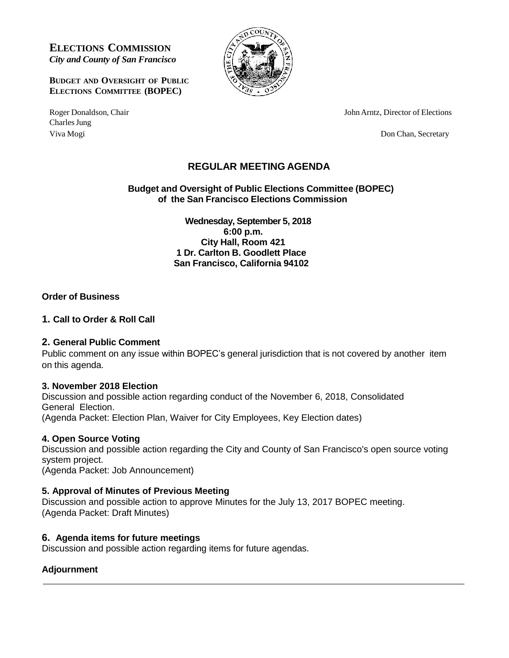**ELECTIONS COMMISSION**  *City and County of San Francisco*

**BUDGET AND OVERSIGHT OF PUBLIC ELECTIONS COMMITTEE (BOPEC)**

Charles Jung Viva Mogi Don Chan, Secretary



Roger Donaldson, Chair John Arntz, Director of Elections

# **REGULAR MEETING AGENDA**

**Budget and Oversight of Public Elections Committee (BOPEC) of the San Francisco Elections Commission**

> **Wednesday, September 5, 2018 6:00 p.m. City Hall, Room 421 1 Dr. Carlton B. Goodlett Place San Francisco, California 94102**

# **Order of Business**

## **1. Call to Order & Roll Call**

#### **2. General Public Comment**

Public comment on any issue within BOPEC's general jurisdiction that is not covered by another item on this agenda.

#### **3. November 2018 Election**

Discussion and possible action regarding conduct of the November 6, 2018, Consolidated General Election. (Agenda Packet: Election Plan, Waiver for City Employees, Key Election dates)

#### **4. Open Source Voting**

Discussion and possible action regarding the City and County of San Francisco's open source voting system project.

(Agenda Packet: Job Announcement)

## **5. Approval of Minutes of Previous Meeting**

Discussion and possible action to approve Minutes for the July 13, 2017 BOPEC meeting. (Agenda Packet: Draft Minutes)

#### **6. Agenda items for future meetings**

Discussion and possible action regarding items for future agendas.

# **Adjournment**